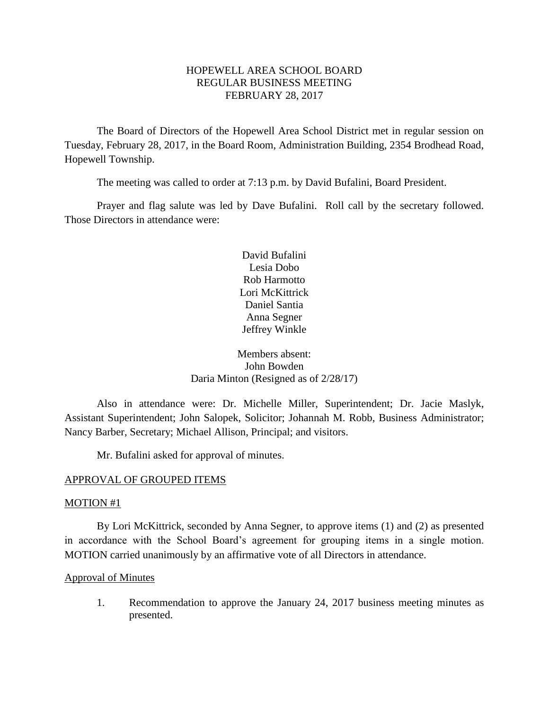## HOPEWELL AREA SCHOOL BOARD REGULAR BUSINESS MEETING FEBRUARY 28, 2017

The Board of Directors of the Hopewell Area School District met in regular session on Tuesday, February 28, 2017, in the Board Room, Administration Building, 2354 Brodhead Road, Hopewell Township.

The meeting was called to order at 7:13 p.m. by David Bufalini, Board President.

Prayer and flag salute was led by Dave Bufalini. Roll call by the secretary followed. Those Directors in attendance were:

> David Bufalini Lesia Dobo Rob Harmotto Lori McKittrick Daniel Santia Anna Segner Jeffrey Winkle

# Members absent: John Bowden Daria Minton (Resigned as of 2/28/17)

Also in attendance were: Dr. Michelle Miller, Superintendent; Dr. Jacie Maslyk, Assistant Superintendent; John Salopek, Solicitor; Johannah M. Robb, Business Administrator; Nancy Barber, Secretary; Michael Allison, Principal; and visitors.

Mr. Bufalini asked for approval of minutes.

# APPROVAL OF GROUPED ITEMS

## MOTION #1

By Lori McKittrick, seconded by Anna Segner, to approve items (1) and (2) as presented in accordance with the School Board's agreement for grouping items in a single motion. MOTION carried unanimously by an affirmative vote of all Directors in attendance.

## Approval of Minutes

1. Recommendation to approve the January 24, 2017 business meeting minutes as presented.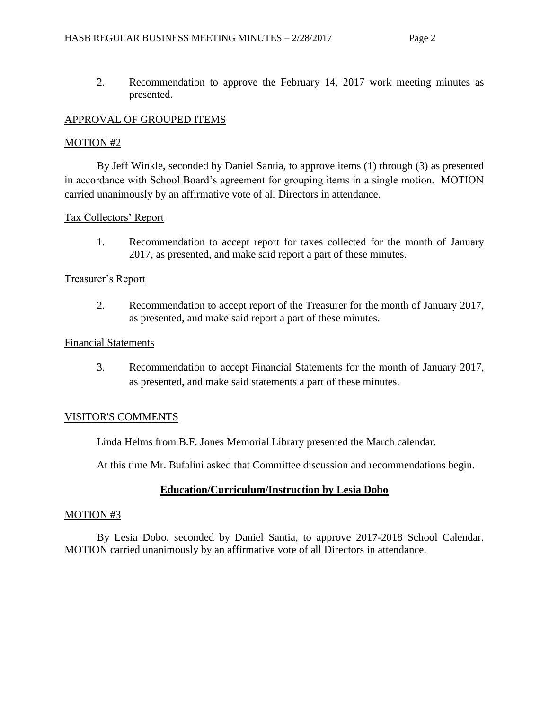2. Recommendation to approve the February 14, 2017 work meeting minutes as presented.

# APPROVAL OF GROUPED ITEMS

## MOTION #2

By Jeff Winkle, seconded by Daniel Santia, to approve items (1) through (3) as presented in accordance with School Board's agreement for grouping items in a single motion. MOTION carried unanimously by an affirmative vote of all Directors in attendance.

# Tax Collectors' Report

1. Recommendation to accept report for taxes collected for the month of January 2017, as presented, and make said report a part of these minutes.

# Treasurer's Report

2. Recommendation to accept report of the Treasurer for the month of January 2017, as presented, and make said report a part of these minutes.

## Financial Statements

3. Recommendation to accept Financial Statements for the month of January 2017, as presented, and make said statements a part of these minutes.

# VISITOR'S COMMENTS

Linda Helms from B.F. Jones Memorial Library presented the March calendar.

At this time Mr. Bufalini asked that Committee discussion and recommendations begin.

# **Education/Curriculum/Instruction by Lesia Dobo**

## MOTION #3

By Lesia Dobo, seconded by Daniel Santia, to approve 2017-2018 School Calendar. MOTION carried unanimously by an affirmative vote of all Directors in attendance.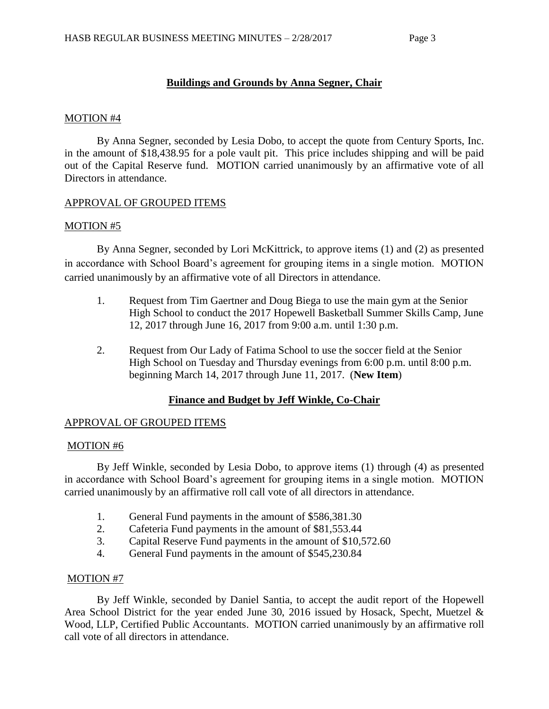# **Buildings and Grounds by Anna Segner, Chair**

### MOTION #4

By Anna Segner, seconded by Lesia Dobo, to accept the quote from Century Sports, Inc. in the amount of \$18,438.95 for a pole vault pit. This price includes shipping and will be paid out of the Capital Reserve fund. MOTION carried unanimously by an affirmative vote of all Directors in attendance.

## APPROVAL OF GROUPED ITEMS

## MOTION #5

By Anna Segner, seconded by Lori McKittrick, to approve items (1) and (2) as presented in accordance with School Board's agreement for grouping items in a single motion. MOTION carried unanimously by an affirmative vote of all Directors in attendance.

- 1. Request from Tim Gaertner and Doug Biega to use the main gym at the Senior High School to conduct the 2017 Hopewell Basketball Summer Skills Camp, June 12, 2017 through June 16, 2017 from 9:00 a.m. until 1:30 p.m.
- 2. Request from Our Lady of Fatima School to use the soccer field at the Senior High School on Tuesday and Thursday evenings from 6:00 p.m. until 8:00 p.m. beginning March 14, 2017 through June 11, 2017. (**New Item**)

## **Finance and Budget by Jeff Winkle, Co-Chair**

## APPROVAL OF GROUPED ITEMS

#### MOTION #6

By Jeff Winkle, seconded by Lesia Dobo, to approve items (1) through (4) as presented in accordance with School Board's agreement for grouping items in a single motion. MOTION carried unanimously by an affirmative roll call vote of all directors in attendance.

- 1. General Fund payments in the amount of \$586,381.30
- 2. Cafeteria Fund payments in the amount of \$81,553.44
- 3. Capital Reserve Fund payments in the amount of \$10,572.60
- 4. General Fund payments in the amount of \$545,230.84

## MOTION #7

By Jeff Winkle, seconded by Daniel Santia, to accept the audit report of the Hopewell Area School District for the year ended June 30, 2016 issued by Hosack, Specht, Muetzel & Wood, LLP, Certified Public Accountants. MOTION carried unanimously by an affirmative roll call vote of all directors in attendance.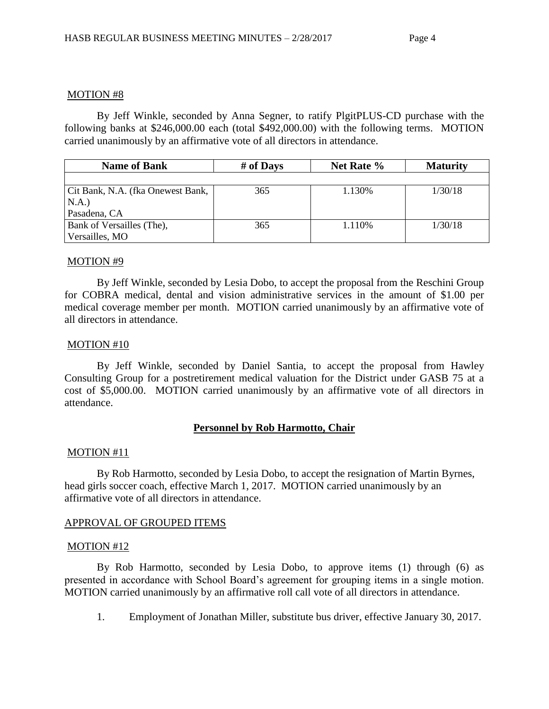#### MOTION #8

By Jeff Winkle, seconded by Anna Segner, to ratify PlgitPLUS-CD purchase with the following banks at \$246,000.00 each (total \$492,000.00) with the following terms. MOTION carried unanimously by an affirmative vote of all directors in attendance.

| <b>Name of Bank</b>               | # of Days | Net Rate % | <b>Maturity</b> |
|-----------------------------------|-----------|------------|-----------------|
|                                   |           |            |                 |
| Cit Bank, N.A. (fka Onewest Bank, | 365       | 1.130\%    | 1/30/18         |
| N.A.)                             |           |            |                 |
| Pasadena, CA                      |           |            |                 |
| Bank of Versailles (The),         | 365       | 1.110\%    | 1/30/18         |
| Versailles, MO                    |           |            |                 |

### MOTION #9

By Jeff Winkle, seconded by Lesia Dobo, to accept the proposal from the Reschini Group for COBRA medical, dental and vision administrative services in the amount of \$1.00 per medical coverage member per month. MOTION carried unanimously by an affirmative vote of all directors in attendance.

### MOTION #10

By Jeff Winkle, seconded by Daniel Santia, to accept the proposal from Hawley Consulting Group for a postretirement medical valuation for the District under GASB 75 at a cost of \$5,000.00. MOTION carried unanimously by an affirmative vote of all directors in attendance.

## **Personnel by Rob Harmotto, Chair**

#### MOTION #11

By Rob Harmotto, seconded by Lesia Dobo, to accept the resignation of Martin Byrnes, head girls soccer coach, effective March 1, 2017. MOTION carried unanimously by an affirmative vote of all directors in attendance.

## APPROVAL OF GROUPED ITEMS

#### MOTION #12

By Rob Harmotto, seconded by Lesia Dobo, to approve items (1) through (6) as presented in accordance with School Board's agreement for grouping items in a single motion. MOTION carried unanimously by an affirmative roll call vote of all directors in attendance.

1. Employment of Jonathan Miller, substitute bus driver, effective January 30, 2017.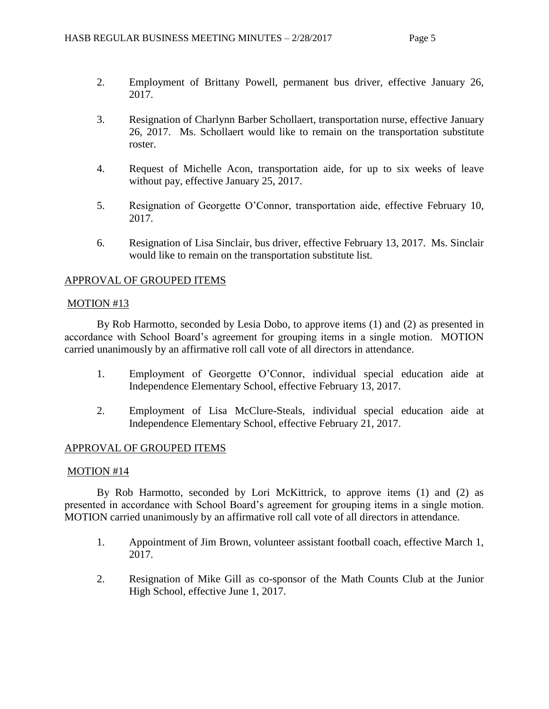- 2. Employment of Brittany Powell, permanent bus driver, effective January 26, 2017.
- 3. Resignation of Charlynn Barber Schollaert, transportation nurse, effective January 26, 2017. Ms. Schollaert would like to remain on the transportation substitute roster.
- 4. Request of Michelle Acon, transportation aide, for up to six weeks of leave without pay, effective January 25, 2017.
- 5. Resignation of Georgette O'Connor, transportation aide, effective February 10, 2017.
- 6. Resignation of Lisa Sinclair, bus driver, effective February 13, 2017. Ms. Sinclair would like to remain on the transportation substitute list.

## APPROVAL OF GROUPED ITEMS

### MOTION #13

By Rob Harmotto, seconded by Lesia Dobo, to approve items (1) and (2) as presented in accordance with School Board's agreement for grouping items in a single motion. MOTION carried unanimously by an affirmative roll call vote of all directors in attendance.

- 1. Employment of Georgette O'Connor, individual special education aide at Independence Elementary School, effective February 13, 2017.
- 2. Employment of Lisa McClure-Steals, individual special education aide at Independence Elementary School, effective February 21, 2017.

## APPROVAL OF GROUPED ITEMS

#### MOTION #14

By Rob Harmotto, seconded by Lori McKittrick, to approve items (1) and (2) as presented in accordance with School Board's agreement for grouping items in a single motion. MOTION carried unanimously by an affirmative roll call vote of all directors in attendance.

- 1. Appointment of Jim Brown, volunteer assistant football coach, effective March 1, 2017.
- 2. Resignation of Mike Gill as co-sponsor of the Math Counts Club at the Junior High School, effective June 1, 2017.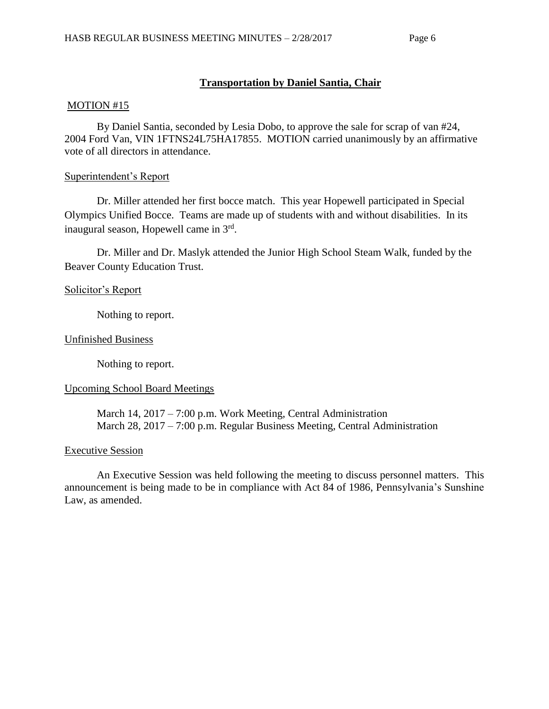# **Transportation by Daniel Santia, Chair**

#### MOTION #15

By Daniel Santia, seconded by Lesia Dobo, to approve the sale for scrap of van #24, 2004 Ford Van, VIN 1FTNS24L75HA17855. MOTION carried unanimously by an affirmative vote of all directors in attendance.

### Superintendent's Report

Dr. Miller attended her first bocce match. This year Hopewell participated in Special Olympics Unified Bocce. Teams are made up of students with and without disabilities. In its inaugural season, Hopewell came in 3rd.

Dr. Miller and Dr. Maslyk attended the Junior High School Steam Walk, funded by the Beaver County Education Trust.

### Solicitor's Report

Nothing to report.

### Unfinished Business

Nothing to report.

## Upcoming School Board Meetings

March 14, 2017 – 7:00 p.m. Work Meeting, Central Administration March 28, 2017 – 7:00 p.m. Regular Business Meeting, Central Administration

## Executive Session

An Executive Session was held following the meeting to discuss personnel matters. This announcement is being made to be in compliance with Act 84 of 1986, Pennsylvania's Sunshine Law, as amended.